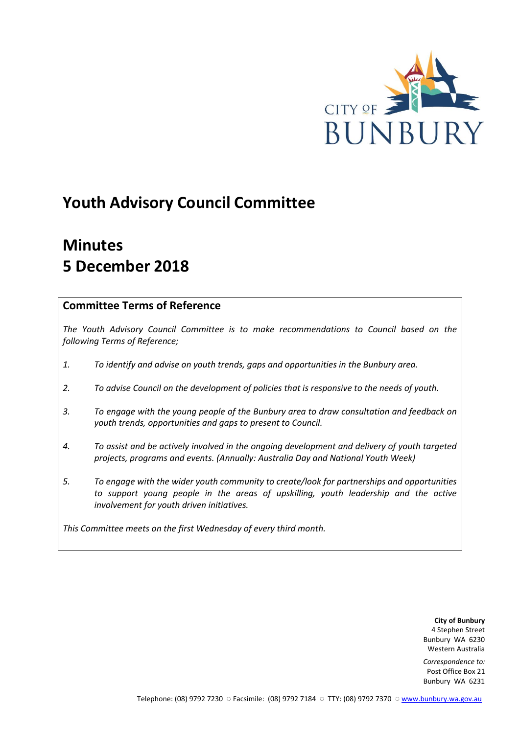

# **Youth Advisory Council Committee**

# **Minutes 5 December 2018**

## **Committee Terms of Reference**

*The Youth Advisory Council Committee is to make recommendations to Council based on the following Terms of Reference;*

- *1. To identify and advise on youth trends, gaps and opportunities in the Bunbury area.*
- *2. To advise Council on the development of policies that is responsive to the needs of youth.*
- *3. To engage with the young people of the Bunbury area to draw consultation and feedback on youth trends, opportunities and gaps to present to Council.*
- *4. To assist and be actively involved in the ongoing development and delivery of youth targeted projects, programs and events. (Annually: Australia Day and National Youth Week)*
- *5. To engage with the wider youth community to create/look for partnerships and opportunities*  to support young people in the areas of upskilling, youth leadership and the active *involvement for youth driven initiatives.*

*This Committee meets on the first Wednesday of every third month.*

**City of Bunbury** 4 Stephen Street Bunbury WA 6230 Western Australia

*Correspondence to:* Post Office Box 21 Bunbury WA 6231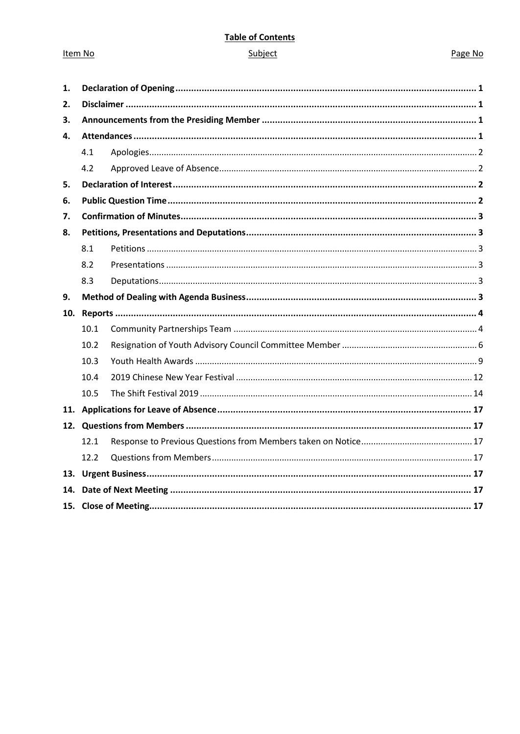## **Table of Contents**

## Item No

## Subject

## Page No

| 1.  |      |  |  |  |  |
|-----|------|--|--|--|--|
| 2.  |      |  |  |  |  |
| 3.  |      |  |  |  |  |
| 4.  |      |  |  |  |  |
|     | 4.1  |  |  |  |  |
|     | 4.2  |  |  |  |  |
| 5.  |      |  |  |  |  |
| 6.  |      |  |  |  |  |
| 7.  |      |  |  |  |  |
| 8.  |      |  |  |  |  |
|     | 8.1  |  |  |  |  |
|     | 8.2  |  |  |  |  |
|     | 8.3  |  |  |  |  |
| 9.  |      |  |  |  |  |
| 10. |      |  |  |  |  |
|     | 10.1 |  |  |  |  |
|     | 10.2 |  |  |  |  |
|     | 10.3 |  |  |  |  |
|     | 10.4 |  |  |  |  |
|     | 10.5 |  |  |  |  |
|     |      |  |  |  |  |
|     |      |  |  |  |  |
|     | 12.1 |  |  |  |  |
|     | 12.2 |  |  |  |  |
|     |      |  |  |  |  |
|     |      |  |  |  |  |
|     |      |  |  |  |  |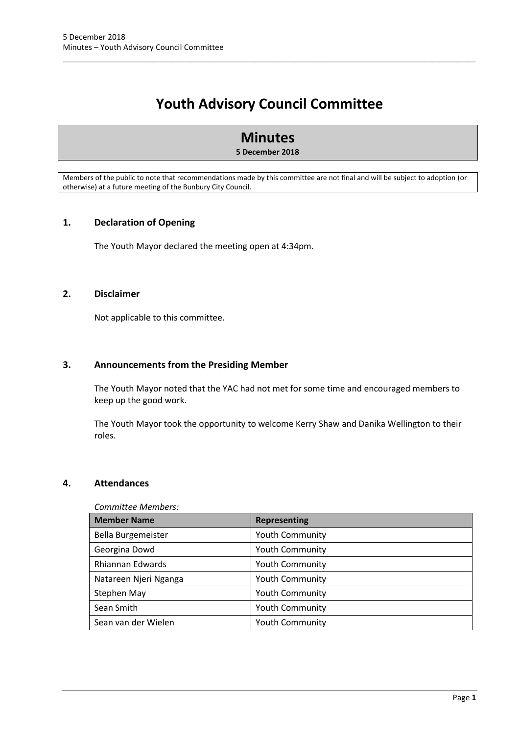## **Youth Advisory Council Committee**

\_\_\_\_\_\_\_\_\_\_\_\_\_\_\_\_\_\_\_\_\_\_\_\_\_\_\_\_\_\_\_\_\_\_\_\_\_\_\_\_\_\_\_\_\_\_\_\_\_\_\_\_\_\_\_\_\_\_\_\_\_\_\_\_\_\_\_\_\_\_\_\_\_\_\_\_\_\_\_\_\_\_\_\_\_\_\_\_\_\_\_\_\_\_\_

## **Minutes**

## **5 December 2018**

Members of the public to note that recommendations made by this committee are not final and will be subject to adoption (or otherwise) at a future meeting of the Bunbury City Council.

## <span id="page-2-0"></span>**1. Declaration of Opening**

The Youth Mayor declared the meeting open at 4:34pm.

## <span id="page-2-1"></span>**2. Disclaimer**

Not applicable to this committee.

## <span id="page-2-2"></span>**3. Announcements from the Presiding Member**

The Youth Mayor noted that the YAC had not met for some time and encouraged members to keep up the good work.

The Youth Mayor took the opportunity to welcome Kerry Shaw and Danika Wellington to their roles.

## <span id="page-2-3"></span>**4. Attendances**

#### *Committee Members:*

| <b>Member Name</b>    | <b>Representing</b>    |
|-----------------------|------------------------|
| Bella Burgemeister    | <b>Youth Community</b> |
| Georgina Dowd         | <b>Youth Community</b> |
| Rhiannan Edwards      | <b>Youth Community</b> |
| Natareen Njeri Nganga | <b>Youth Community</b> |
| Stephen May           | <b>Youth Community</b> |
| Sean Smith            | <b>Youth Community</b> |
| Sean van der Wielen   | <b>Youth Community</b> |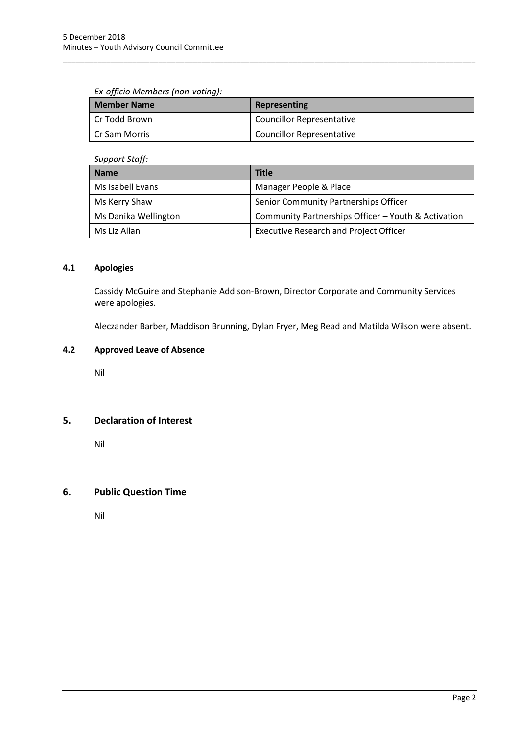## *Ex-officio Members (non-voting):*

| <b>Member Name</b> | Representing                     |
|--------------------|----------------------------------|
| Cr Todd Brown      | <b>Councillor Representative</b> |
| l Cr Sam Morris    | <b>Councillor Representative</b> |

\_\_\_\_\_\_\_\_\_\_\_\_\_\_\_\_\_\_\_\_\_\_\_\_\_\_\_\_\_\_\_\_\_\_\_\_\_\_\_\_\_\_\_\_\_\_\_\_\_\_\_\_\_\_\_\_\_\_\_\_\_\_\_\_\_\_\_\_\_\_\_\_\_\_\_\_\_\_\_\_\_\_\_\_\_\_\_\_\_\_\_\_\_\_\_

## *Support Staff:*

| <b>Name</b>          | <b>Title</b>                                        |  |  |
|----------------------|-----------------------------------------------------|--|--|
| Ms Isabell Evans     | Manager People & Place                              |  |  |
| Ms Kerry Shaw        | Senior Community Partnerships Officer               |  |  |
| Ms Danika Wellington | Community Partnerships Officer - Youth & Activation |  |  |
| Ms Liz Allan         | <b>Executive Research and Project Officer</b>       |  |  |

## <span id="page-3-0"></span>**4.1 Apologies**

Cassidy McGuire and Stephanie Addison-Brown, Director Corporate and Community Services were apologies.

Aleczander Barber, Maddison Brunning, Dylan Fryer, Meg Read and Matilda Wilson were absent.

## <span id="page-3-1"></span>**4.2 Approved Leave of Absence**

Nil

## <span id="page-3-2"></span>**5. Declaration of Interest**

Nil

## <span id="page-3-3"></span>**6. Public Question Time**

Nil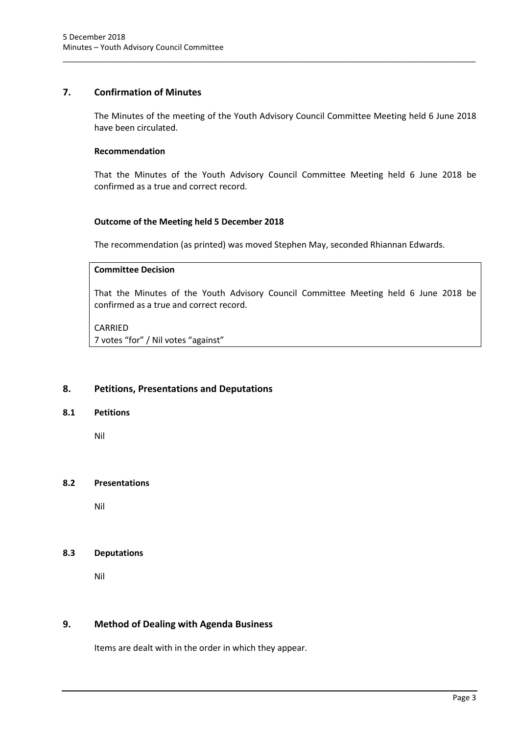## <span id="page-4-0"></span>**7. Confirmation of Minutes**

The Minutes of the meeting of the Youth Advisory Council Committee Meeting held 6 June 2018 have been circulated.

\_\_\_\_\_\_\_\_\_\_\_\_\_\_\_\_\_\_\_\_\_\_\_\_\_\_\_\_\_\_\_\_\_\_\_\_\_\_\_\_\_\_\_\_\_\_\_\_\_\_\_\_\_\_\_\_\_\_\_\_\_\_\_\_\_\_\_\_\_\_\_\_\_\_\_\_\_\_\_\_\_\_\_\_\_\_\_\_\_\_\_\_\_\_\_

## **Recommendation**

That the Minutes of the Youth Advisory Council Committee Meeting held 6 June 2018 be confirmed as a true and correct record.

## **Outcome of the Meeting held 5 December 2018**

The recommendation (as printed) was moved Stephen May, seconded Rhiannan Edwards.

## **Committee Decision**

That the Minutes of the Youth Advisory Council Committee Meeting held 6 June 2018 be confirmed as a true and correct record.

## CARRIED

7 votes "for" / Nil votes "against"

## <span id="page-4-1"></span>**8. Petitions, Presentations and Deputations**

## <span id="page-4-2"></span>**8.1 Petitions**

Nil

## <span id="page-4-3"></span>**8.2 Presentations**

Nil

## <span id="page-4-4"></span>**8.3 Deputations**

Nil

## <span id="page-4-5"></span>**9. Method of Dealing with Agenda Business**

Items are dealt with in the order in which they appear.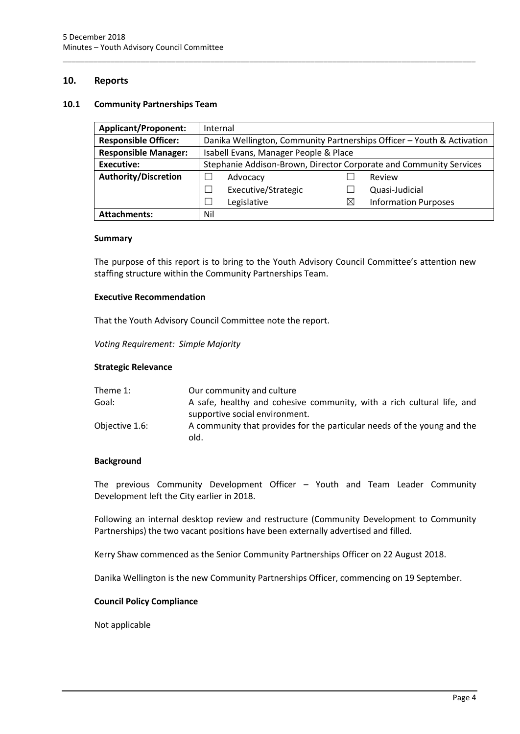## <span id="page-5-0"></span>**10. Reports**

#### <span id="page-5-1"></span>**10.1 Community Partnerships Team**

| <b>Applicant/Proponent:</b> | Internal                                                               |                     |   |                             |
|-----------------------------|------------------------------------------------------------------------|---------------------|---|-----------------------------|
| <b>Responsible Officer:</b> | Danika Wellington, Community Partnerships Officer - Youth & Activation |                     |   |                             |
| <b>Responsible Manager:</b> | Isabell Evans, Manager People & Place                                  |                     |   |                             |
| <b>Executive:</b>           | Stephanie Addison-Brown, Director Corporate and Community Services     |                     |   |                             |
| <b>Authority/Discretion</b> |                                                                        | Advocacy            |   | Review                      |
|                             |                                                                        | Executive/Strategic |   | Quasi-Judicial              |
|                             |                                                                        | Legislative         | ⊠ | <b>Information Purposes</b> |
| <b>Attachments:</b>         | Nil                                                                    |                     |   |                             |

\_\_\_\_\_\_\_\_\_\_\_\_\_\_\_\_\_\_\_\_\_\_\_\_\_\_\_\_\_\_\_\_\_\_\_\_\_\_\_\_\_\_\_\_\_\_\_\_\_\_\_\_\_\_\_\_\_\_\_\_\_\_\_\_\_\_\_\_\_\_\_\_\_\_\_\_\_\_\_\_\_\_\_\_\_\_\_\_\_\_\_\_\_\_\_

#### **Summary**

The purpose of this report is to bring to the Youth Advisory Council Committee's attention new staffing structure within the Community Partnerships Team.

#### **Executive Recommendation**

That the Youth Advisory Council Committee note the report.

*Voting Requirement: Simple Majority* 

#### **Strategic Relevance**

| Our community and culture                                               |
|-------------------------------------------------------------------------|
| A safe, healthy and cohesive community, with a rich cultural life, and  |
| supportive social environment.                                          |
| A community that provides for the particular needs of the young and the |
|                                                                         |

## **Background**

The previous Community Development Officer – Youth and Team Leader Community Development left the City earlier in 2018.

Following an internal desktop review and restructure (Community Development to Community Partnerships) the two vacant positions have been externally advertised and filled.

Kerry Shaw commenced as the Senior Community Partnerships Officer on 22 August 2018.

Danika Wellington is the new Community Partnerships Officer, commencing on 19 September.

## **Council Policy Compliance**

Not applicable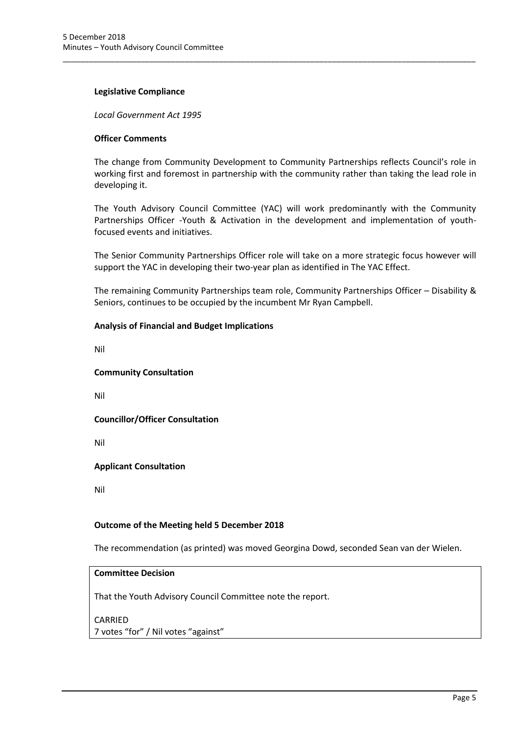#### **Legislative Compliance**

*Local Government Act 1995*

## **Officer Comments**

The change from Community Development to Community Partnerships reflects Council's role in working first and foremost in partnership with the community rather than taking the lead role in developing it.

\_\_\_\_\_\_\_\_\_\_\_\_\_\_\_\_\_\_\_\_\_\_\_\_\_\_\_\_\_\_\_\_\_\_\_\_\_\_\_\_\_\_\_\_\_\_\_\_\_\_\_\_\_\_\_\_\_\_\_\_\_\_\_\_\_\_\_\_\_\_\_\_\_\_\_\_\_\_\_\_\_\_\_\_\_\_\_\_\_\_\_\_\_\_\_

The Youth Advisory Council Committee (YAC) will work predominantly with the Community Partnerships Officer -Youth & Activation in the development and implementation of youthfocused events and initiatives.

The Senior Community Partnerships Officer role will take on a more strategic focus however will support the YAC in developing their two-year plan as identified in The YAC Effect.

The remaining Community Partnerships team role, Community Partnerships Officer – Disability & Seniors, continues to be occupied by the incumbent Mr Ryan Campbell.

#### **Analysis of Financial and Budget Implications**

Nil

#### **Community Consultation**

Nil

**Councillor/Officer Consultation**

Nil

## **Applicant Consultation**

Nil

## **Outcome of the Meeting held 5 December 2018**

The recommendation (as printed) was moved Georgina Dowd, seconded Sean van der Wielen.

## **Committee Decision**

That the Youth Advisory Council Committee note the report.

CARRIED 7 votes "for" / Nil votes "against"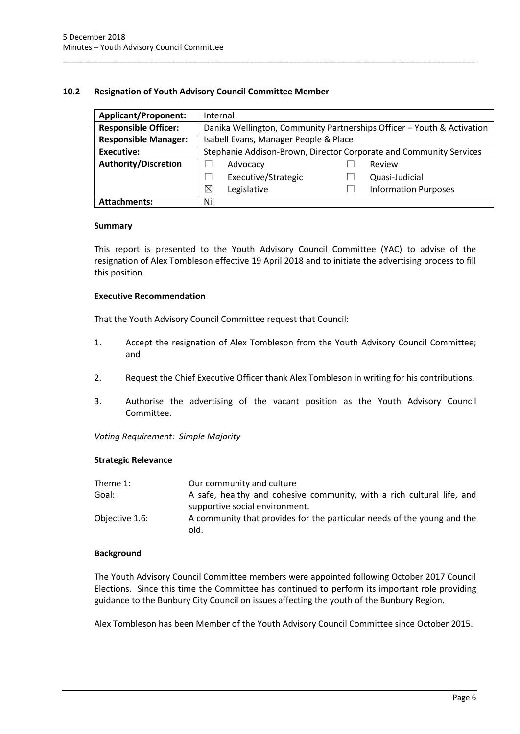## <span id="page-7-0"></span>**10.2 Resignation of Youth Advisory Council Committee Member**

| <b>Applicant/Proponent:</b> | Internal                                                           |                                                                        |  |                             |  |
|-----------------------------|--------------------------------------------------------------------|------------------------------------------------------------------------|--|-----------------------------|--|
| <b>Responsible Officer:</b> |                                                                    | Danika Wellington, Community Partnerships Officer - Youth & Activation |  |                             |  |
| <b>Responsible Manager:</b> | Isabell Evans, Manager People & Place                              |                                                                        |  |                             |  |
| <b>Executive:</b>           | Stephanie Addison-Brown, Director Corporate and Community Services |                                                                        |  |                             |  |
| <b>Authority/Discretion</b> |                                                                    | Advocacy                                                               |  | Review                      |  |
|                             |                                                                    | Executive/Strategic                                                    |  | Quasi-Judicial              |  |
|                             | $\times$                                                           | Legislative                                                            |  | <b>Information Purposes</b> |  |
| <b>Attachments:</b>         | Nil                                                                |                                                                        |  |                             |  |

\_\_\_\_\_\_\_\_\_\_\_\_\_\_\_\_\_\_\_\_\_\_\_\_\_\_\_\_\_\_\_\_\_\_\_\_\_\_\_\_\_\_\_\_\_\_\_\_\_\_\_\_\_\_\_\_\_\_\_\_\_\_\_\_\_\_\_\_\_\_\_\_\_\_\_\_\_\_\_\_\_\_\_\_\_\_\_\_\_\_\_\_\_\_\_

## **Summary**

This report is presented to the Youth Advisory Council Committee (YAC) to advise of the resignation of Alex Tombleson effective 19 April 2018 and to initiate the advertising process to fill this position.

## **Executive Recommendation**

That the Youth Advisory Council Committee request that Council:

- 1. Accept the resignation of Alex Tombleson from the Youth Advisory Council Committee; and
- 2. Request the Chief Executive Officer thank Alex Tombleson in writing for his contributions.
- 3. Authorise the advertising of the vacant position as the Youth Advisory Council Committee.

*Voting Requirement: Simple Majority* 

## **Strategic Relevance**

| Theme 1:       | Our community and culture                                                       |
|----------------|---------------------------------------------------------------------------------|
| Goal:          | A safe, healthy and cohesive community, with a rich cultural life, and          |
|                | supportive social environment.                                                  |
| Objective 1.6: | A community that provides for the particular needs of the young and the<br>old. |

## **Background**

The Youth Advisory Council Committee members were appointed following October 2017 Council Elections. Since this time the Committee has continued to perform its important role providing guidance to the Bunbury City Council on issues affecting the youth of the Bunbury Region.

Alex Tombleson has been Member of the Youth Advisory Council Committee since October 2015.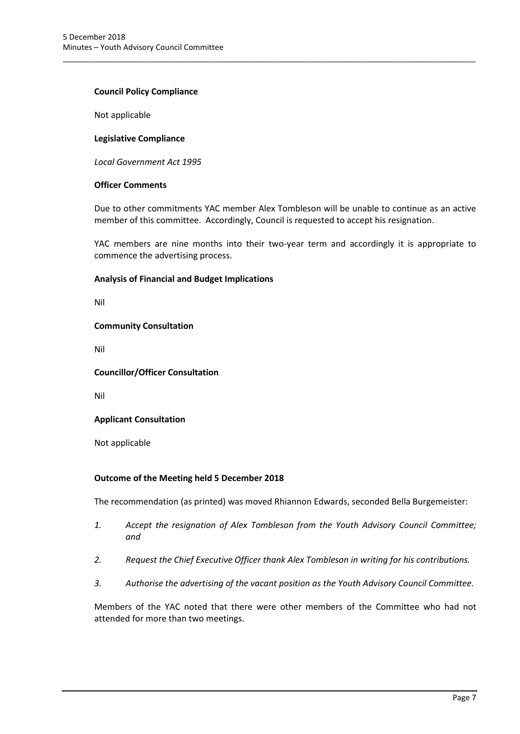## **Council Policy Compliance**

Not applicable

#### **Legislative Compliance**

*Local Government Act 1995*

## **Officer Comments**

Due to other commitments YAC member Alex Tombleson will be unable to continue as an active member of this committee. Accordingly, Council is requested to accept his resignation.

\_\_\_\_\_\_\_\_\_\_\_\_\_\_\_\_\_\_\_\_\_\_\_\_\_\_\_\_\_\_\_\_\_\_\_\_\_\_\_\_\_\_\_\_\_\_\_\_\_\_\_\_\_\_\_\_\_\_\_\_\_\_\_\_\_\_\_\_\_\_\_\_\_\_\_\_\_\_\_\_\_\_\_\_\_\_\_\_\_\_\_\_\_\_\_

YAC members are nine months into their two-year term and accordingly it is appropriate to commence the advertising process.

#### **Analysis of Financial and Budget Implications**

Nil

#### **Community Consultation**

Nil

## **Councillor/Officer Consultation**

Nil

## **Applicant Consultation**

Not applicable

## **Outcome of the Meeting held 5 December 2018**

The recommendation (as printed) was moved Rhiannon Edwards, seconded Bella Burgemeister:

- *1. Accept the resignation of Alex Tombleson from the Youth Advisory Council Committee; and*
- *2. Request the Chief Executive Officer thank Alex Tombleson in writing for his contributions.*
- *3. Authorise the advertising of the vacant position as the Youth Advisory Council Committee.*

Members of the YAC noted that there were other members of the Committee who had not attended for more than two meetings.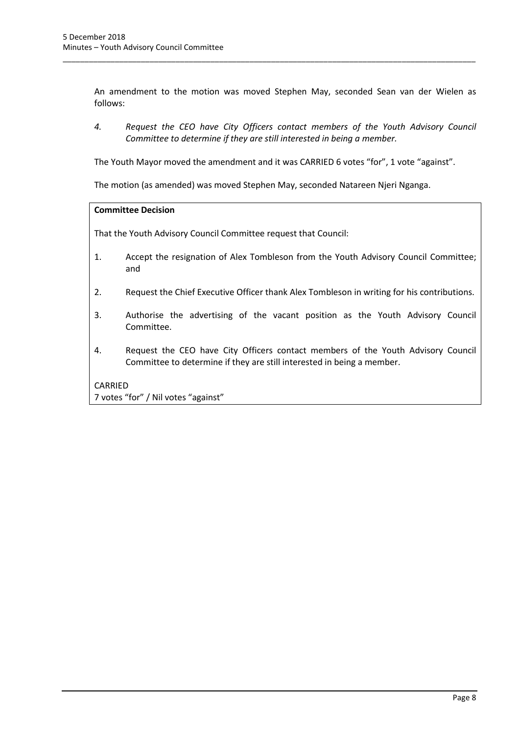An amendment to the motion was moved Stephen May, seconded Sean van der Wielen as follows:

\_\_\_\_\_\_\_\_\_\_\_\_\_\_\_\_\_\_\_\_\_\_\_\_\_\_\_\_\_\_\_\_\_\_\_\_\_\_\_\_\_\_\_\_\_\_\_\_\_\_\_\_\_\_\_\_\_\_\_\_\_\_\_\_\_\_\_\_\_\_\_\_\_\_\_\_\_\_\_\_\_\_\_\_\_\_\_\_\_\_\_\_\_\_\_

*4. Request the CEO have City Officers contact members of the Youth Advisory Council Committee to determine if they are still interested in being a member.*

The Youth Mayor moved the amendment and it was CARRIED 6 votes "for", 1 vote "against".

The motion (as amended) was moved Stephen May, seconded Natareen Njeri Nganga.

#### **Committee Decision**

That the Youth Advisory Council Committee request that Council:

- 1. Accept the resignation of Alex Tombleson from the Youth Advisory Council Committee; and
- 2. Request the Chief Executive Officer thank Alex Tombleson in writing for his contributions.
- 3. Authorise the advertising of the vacant position as the Youth Advisory Council Committee.
- 4. Request the CEO have City Officers contact members of the Youth Advisory Council Committee to determine if they are still interested in being a member.

## CARRIED

7 votes "for" / Nil votes "against"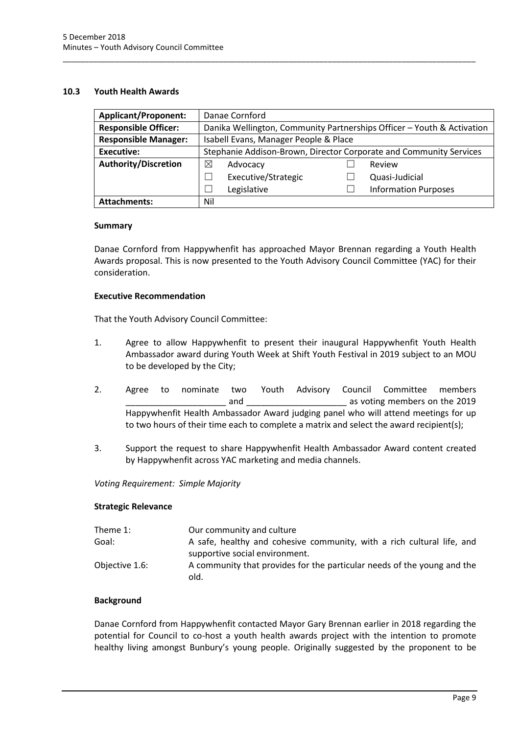## <span id="page-10-0"></span>**10.3 Youth Health Awards**

| <b>Applicant/Proponent:</b> | Danae Cornford                                                         |                     |  |                             |
|-----------------------------|------------------------------------------------------------------------|---------------------|--|-----------------------------|
| <b>Responsible Officer:</b> | Danika Wellington, Community Partnerships Officer - Youth & Activation |                     |  |                             |
| <b>Responsible Manager:</b> | Isabell Evans, Manager People & Place                                  |                     |  |                             |
| Executive:                  | Stephanie Addison-Brown, Director Corporate and Community Services     |                     |  |                             |
| <b>Authority/Discretion</b> | ⊠                                                                      | Advocacy            |  | Review                      |
|                             |                                                                        | Executive/Strategic |  | Quasi-Judicial              |
|                             |                                                                        | Legislative         |  | <b>Information Purposes</b> |
| <b>Attachments:</b>         | Nil                                                                    |                     |  |                             |

\_\_\_\_\_\_\_\_\_\_\_\_\_\_\_\_\_\_\_\_\_\_\_\_\_\_\_\_\_\_\_\_\_\_\_\_\_\_\_\_\_\_\_\_\_\_\_\_\_\_\_\_\_\_\_\_\_\_\_\_\_\_\_\_\_\_\_\_\_\_\_\_\_\_\_\_\_\_\_\_\_\_\_\_\_\_\_\_\_\_\_\_\_\_\_

## **Summary**

Danae Cornford from Happywhenfit has approached Mayor Brennan regarding a Youth Health Awards proposal. This is now presented to the Youth Advisory Council Committee (YAC) for their consideration.

## **Executive Recommendation**

That the Youth Advisory Council Committee:

- 1. Agree to allow Happywhenfit to present their inaugural Happywhenfit Youth Health Ambassador award during Youth Week at Shift Youth Festival in 2019 subject to an MOU to be developed by the City;
- 2. Agree to nominate two Youth Advisory Council Committee members \_\_\_\_\_\_\_\_\_\_\_\_\_\_\_\_\_\_\_\_\_ and \_\_\_\_\_\_\_\_\_\_\_\_\_\_\_\_\_\_\_\_\_ as voting members on the 2019 Happywhenfit Health Ambassador Award judging panel who will attend meetings for up to two hours of their time each to complete a matrix and select the award recipient(s);
- 3. Support the request to share Happywhenfit Health Ambassador Award content created by Happywhenfit across YAC marketing and media channels.

## *Voting Requirement: Simple Majority*

## **Strategic Relevance**

| Theme 1:       | Our community and culture                                                       |
|----------------|---------------------------------------------------------------------------------|
| Goal:          | A safe, healthy and cohesive community, with a rich cultural life, and          |
|                | supportive social environment.                                                  |
| Objective 1.6: | A community that provides for the particular needs of the young and the<br>old. |

## **Background**

Danae Cornford from Happywhenfit contacted Mayor Gary Brennan earlier in 2018 regarding the potential for Council to co-host a youth health awards project with the intention to promote healthy living amongst Bunbury's young people. Originally suggested by the proponent to be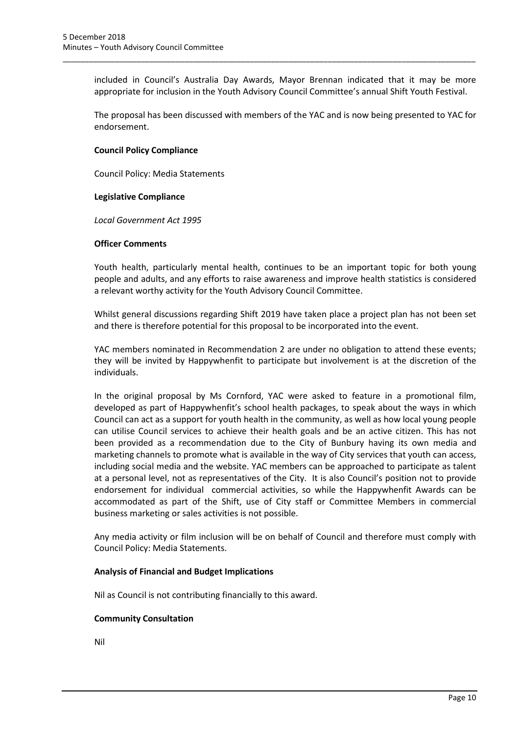included in Council's Australia Day Awards, Mayor Brennan indicated that it may be more appropriate for inclusion in the Youth Advisory Council Committee's annual Shift Youth Festival.

\_\_\_\_\_\_\_\_\_\_\_\_\_\_\_\_\_\_\_\_\_\_\_\_\_\_\_\_\_\_\_\_\_\_\_\_\_\_\_\_\_\_\_\_\_\_\_\_\_\_\_\_\_\_\_\_\_\_\_\_\_\_\_\_\_\_\_\_\_\_\_\_\_\_\_\_\_\_\_\_\_\_\_\_\_\_\_\_\_\_\_\_\_\_\_

The proposal has been discussed with members of the YAC and is now being presented to YAC for endorsement.

## **Council Policy Compliance**

Council Policy: Media Statements

## **Legislative Compliance**

*Local Government Act 1995*

#### **Officer Comments**

Youth health, particularly mental health, continues to be an important topic for both young people and adults, and any efforts to raise awareness and improve health statistics is considered a relevant worthy activity for the Youth Advisory Council Committee.

Whilst general discussions regarding Shift 2019 have taken place a project plan has not been set and there is therefore potential for this proposal to be incorporated into the event.

YAC members nominated in Recommendation 2 are under no obligation to attend these events; they will be invited by Happywhenfit to participate but involvement is at the discretion of the individuals.

In the original proposal by Ms Cornford, YAC were asked to feature in a promotional film, developed as part of Happywhenfit's school health packages, to speak about the ways in which Council can act as a support for youth health in the community, as well as how local young people can utilise Council services to achieve their health goals and be an active citizen. This has not been provided as a recommendation due to the City of Bunbury having its own media and marketing channels to promote what is available in the way of City services that youth can access, including social media and the website. YAC members can be approached to participate as talent at a personal level, not as representatives of the City. It is also Council's position not to provide endorsement for individual commercial activities, so while the Happywhenfit Awards can be accommodated as part of the Shift, use of City staff or Committee Members in commercial business marketing or sales activities is not possible.

Any media activity or film inclusion will be on behalf of Council and therefore must comply with Council Policy: Media Statements.

## **Analysis of Financial and Budget Implications**

Nil as Council is not contributing financially to this award.

## **Community Consultation**

Nil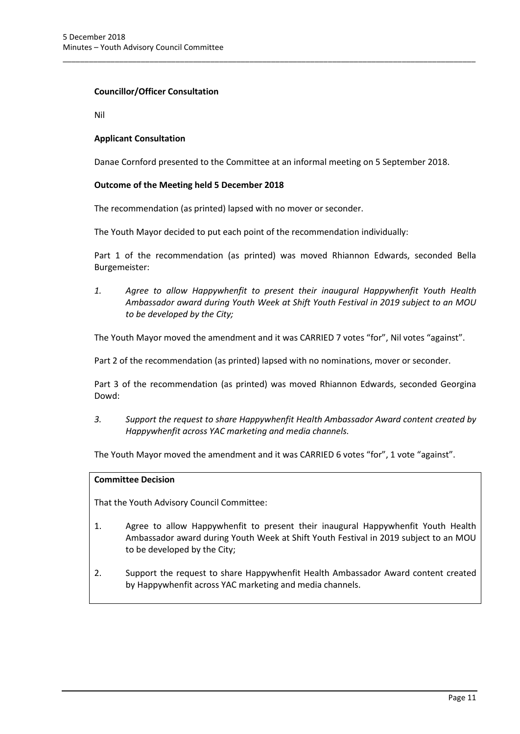## **Councillor/Officer Consultation**

Nil

## **Applicant Consultation**

Danae Cornford presented to the Committee at an informal meeting on 5 September 2018.

\_\_\_\_\_\_\_\_\_\_\_\_\_\_\_\_\_\_\_\_\_\_\_\_\_\_\_\_\_\_\_\_\_\_\_\_\_\_\_\_\_\_\_\_\_\_\_\_\_\_\_\_\_\_\_\_\_\_\_\_\_\_\_\_\_\_\_\_\_\_\_\_\_\_\_\_\_\_\_\_\_\_\_\_\_\_\_\_\_\_\_\_\_\_\_

## **Outcome of the Meeting held 5 December 2018**

The recommendation (as printed) lapsed with no mover or seconder.

The Youth Mayor decided to put each point of the recommendation individually:

Part 1 of the recommendation (as printed) was moved Rhiannon Edwards, seconded Bella Burgemeister:

*1. Agree to allow Happywhenfit to present their inaugural Happywhenfit Youth Health Ambassador award during Youth Week at Shift Youth Festival in 2019 subject to an MOU to be developed by the City;*

The Youth Mayor moved the amendment and it was CARRIED 7 votes "for", Nil votes "against".

Part 2 of the recommendation (as printed) lapsed with no nominations, mover or seconder.

Part 3 of the recommendation (as printed) was moved Rhiannon Edwards, seconded Georgina Dowd:

*3. Support the request to share Happywhenfit Health Ambassador Award content created by Happywhenfit across YAC marketing and media channels.*

The Youth Mayor moved the amendment and it was CARRIED 6 votes "for", 1 vote "against".

## **Committee Decision**

That the Youth Advisory Council Committee:

- 1. Agree to allow Happywhenfit to present their inaugural Happywhenfit Youth Health Ambassador award during Youth Week at Shift Youth Festival in 2019 subject to an MOU to be developed by the City;
- 2. Support the request to share Happywhenfit Health Ambassador Award content created by Happywhenfit across YAC marketing and media channels.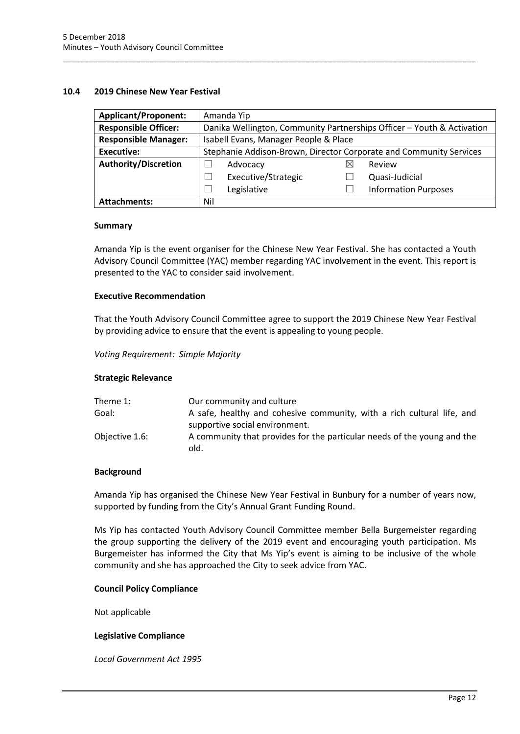#### <span id="page-13-0"></span>**10.4 2019 Chinese New Year Festival**

| <b>Applicant/Proponent:</b> |                                                                        | Amanda Yip          |   |                             |
|-----------------------------|------------------------------------------------------------------------|---------------------|---|-----------------------------|
| <b>Responsible Officer:</b> | Danika Wellington, Community Partnerships Officer - Youth & Activation |                     |   |                             |
| <b>Responsible Manager:</b> | Isabell Evans, Manager People & Place                                  |                     |   |                             |
| Executive:                  | Stephanie Addison-Brown, Director Corporate and Community Services     |                     |   |                             |
| <b>Authority/Discretion</b> |                                                                        | Advocacy            | ⋉ | Review                      |
|                             |                                                                        | Executive/Strategic |   | Quasi-Judicial              |
|                             |                                                                        | Legislative         |   | <b>Information Purposes</b> |
| <b>Attachments:</b>         | Nil                                                                    |                     |   |                             |

\_\_\_\_\_\_\_\_\_\_\_\_\_\_\_\_\_\_\_\_\_\_\_\_\_\_\_\_\_\_\_\_\_\_\_\_\_\_\_\_\_\_\_\_\_\_\_\_\_\_\_\_\_\_\_\_\_\_\_\_\_\_\_\_\_\_\_\_\_\_\_\_\_\_\_\_\_\_\_\_\_\_\_\_\_\_\_\_\_\_\_\_\_\_\_

#### **Summary**

Amanda Yip is the event organiser for the Chinese New Year Festival. She has contacted a Youth Advisory Council Committee (YAC) member regarding YAC involvement in the event. This report is presented to the YAC to consider said involvement.

#### **Executive Recommendation**

That the Youth Advisory Council Committee agree to support the 2019 Chinese New Year Festival by providing advice to ensure that the event is appealing to young people.

*Voting Requirement: Simple Majority* 

## **Strategic Relevance**

| Theme 1:       | Our community and culture                                                       |
|----------------|---------------------------------------------------------------------------------|
| Goal:          | A safe, healthy and cohesive community, with a rich cultural life, and          |
|                | supportive social environment.                                                  |
| Objective 1.6: | A community that provides for the particular needs of the young and the<br>old. |

## **Background**

Amanda Yip has organised the Chinese New Year Festival in Bunbury for a number of years now, supported by funding from the City's Annual Grant Funding Round.

Ms Yip has contacted Youth Advisory Council Committee member Bella Burgemeister regarding the group supporting the delivery of the 2019 event and encouraging youth participation. Ms Burgemeister has informed the City that Ms Yip's event is aiming to be inclusive of the whole community and she has approached the City to seek advice from YAC.

## **Council Policy Compliance**

Not applicable

## **Legislative Compliance**

*Local Government Act 1995*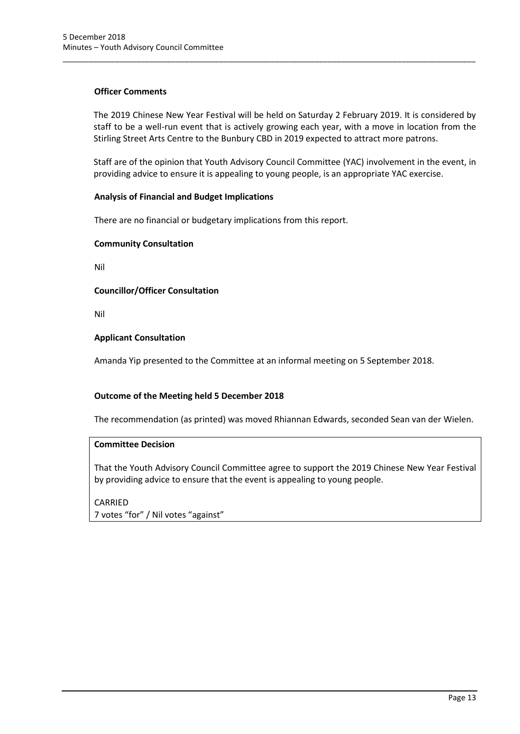## **Officer Comments**

The 2019 Chinese New Year Festival will be held on Saturday 2 February 2019. It is considered by staff to be a well-run event that is actively growing each year, with a move in location from the Stirling Street Arts Centre to the Bunbury CBD in 2019 expected to attract more patrons.

\_\_\_\_\_\_\_\_\_\_\_\_\_\_\_\_\_\_\_\_\_\_\_\_\_\_\_\_\_\_\_\_\_\_\_\_\_\_\_\_\_\_\_\_\_\_\_\_\_\_\_\_\_\_\_\_\_\_\_\_\_\_\_\_\_\_\_\_\_\_\_\_\_\_\_\_\_\_\_\_\_\_\_\_\_\_\_\_\_\_\_\_\_\_\_

Staff are of the opinion that Youth Advisory Council Committee (YAC) involvement in the event, in providing advice to ensure it is appealing to young people, is an appropriate YAC exercise.

## **Analysis of Financial and Budget Implications**

There are no financial or budgetary implications from this report.

## **Community Consultation**

Nil

## **Councillor/Officer Consultation**

Nil

## **Applicant Consultation**

Amanda Yip presented to the Committee at an informal meeting on 5 September 2018.

## **Outcome of the Meeting held 5 December 2018**

The recommendation (as printed) was moved Rhiannan Edwards, seconded Sean van der Wielen.

## **Committee Decision**

That the Youth Advisory Council Committee agree to support the 2019 Chinese New Year Festival by providing advice to ensure that the event is appealing to young people.

CARRIED 7 votes "for" / Nil votes "against"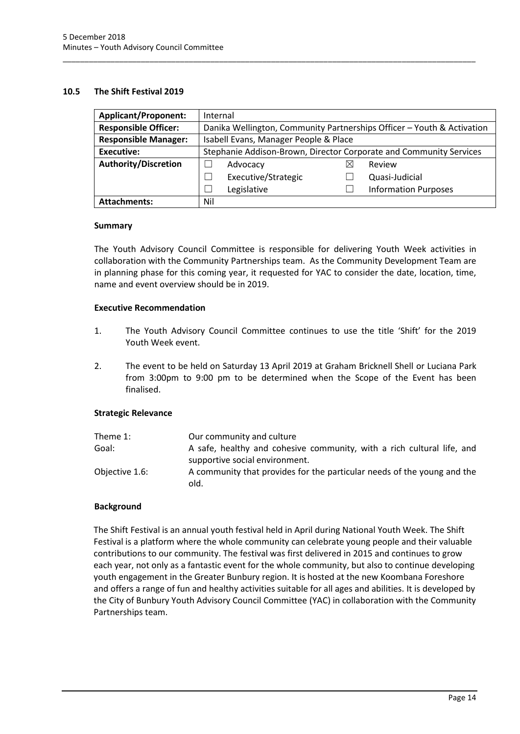## <span id="page-15-0"></span>**10.5 The Shift Festival 2019**

| <b>Applicant/Proponent:</b> | Internal                                                               |                     |   |                             |
|-----------------------------|------------------------------------------------------------------------|---------------------|---|-----------------------------|
| <b>Responsible Officer:</b> | Danika Wellington, Community Partnerships Officer - Youth & Activation |                     |   |                             |
| <b>Responsible Manager:</b> | Isabell Evans, Manager People & Place                                  |                     |   |                             |
| <b>Executive:</b>           | Stephanie Addison-Brown, Director Corporate and Community Services     |                     |   |                             |
| <b>Authority/Discretion</b> |                                                                        | Advocacy            | ⋉ | Review                      |
|                             |                                                                        | Executive/Strategic |   | Quasi-Judicial              |
|                             |                                                                        | Legislative         |   | <b>Information Purposes</b> |
| <b>Attachments:</b>         | Nil                                                                    |                     |   |                             |

\_\_\_\_\_\_\_\_\_\_\_\_\_\_\_\_\_\_\_\_\_\_\_\_\_\_\_\_\_\_\_\_\_\_\_\_\_\_\_\_\_\_\_\_\_\_\_\_\_\_\_\_\_\_\_\_\_\_\_\_\_\_\_\_\_\_\_\_\_\_\_\_\_\_\_\_\_\_\_\_\_\_\_\_\_\_\_\_\_\_\_\_\_\_\_

## **Summary**

The Youth Advisory Council Committee is responsible for delivering Youth Week activities in collaboration with the Community Partnerships team. As the Community Development Team are in planning phase for this coming year, it requested for YAC to consider the date, location, time, name and event overview should be in 2019.

## **Executive Recommendation**

- 1. The Youth Advisory Council Committee continues to use the title 'Shift' for the 2019 Youth Week event.
- 2. The event to be held on Saturday 13 April 2019 at Graham Bricknell Shell or Luciana Park from 3:00pm to 9:00 pm to be determined when the Scope of the Event has been finalised.

## **Strategic Relevance**

| Theme 1:       | Our community and culture                                               |
|----------------|-------------------------------------------------------------------------|
| Goal:          | A safe, healthy and cohesive community, with a rich cultural life, and  |
|                | supportive social environment.                                          |
| Objective 1.6: | A community that provides for the particular needs of the young and the |
|                | old.                                                                    |

## **Background**

The Shift Festival is an annual youth festival held in April during National Youth Week. The Shift Festival is a platform where the whole community can celebrate young people and their valuable contributions to our community. The festival was first delivered in 2015 and continues to grow each year, not only as a fantastic event for the whole community, but also to continue developing youth engagement in the Greater Bunbury region. It is hosted at the new Koombana Foreshore and offers a range of fun and healthy activities suitable for all ages and abilities. It is developed by the City of Bunbury Youth Advisory Council Committee (YAC) in collaboration with the Community Partnerships team.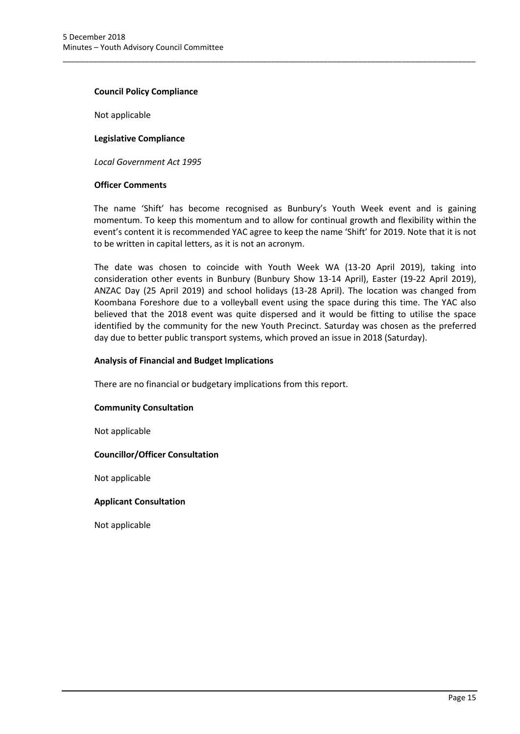#### **Council Policy Compliance**

Not applicable

**Legislative Compliance**

*Local Government Act 1995*

#### **Officer Comments**

The name 'Shift' has become recognised as Bunbury's Youth Week event and is gaining momentum. To keep this momentum and to allow for continual growth and flexibility within the event's content it is recommended YAC agree to keep the name 'Shift' for 2019. Note that it is not to be written in capital letters, as it is not an acronym.

\_\_\_\_\_\_\_\_\_\_\_\_\_\_\_\_\_\_\_\_\_\_\_\_\_\_\_\_\_\_\_\_\_\_\_\_\_\_\_\_\_\_\_\_\_\_\_\_\_\_\_\_\_\_\_\_\_\_\_\_\_\_\_\_\_\_\_\_\_\_\_\_\_\_\_\_\_\_\_\_\_\_\_\_\_\_\_\_\_\_\_\_\_\_\_

The date was chosen to coincide with Youth Week WA (13-20 April 2019), taking into consideration other events in Bunbury (Bunbury Show 13-14 April), Easter (19-22 April 2019), ANZAC Day (25 April 2019) and school holidays (13-28 April). The location was changed from Koombana Foreshore due to a volleyball event using the space during this time. The YAC also believed that the 2018 event was quite dispersed and it would be fitting to utilise the space identified by the community for the new Youth Precinct. Saturday was chosen as the preferred day due to better public transport systems, which proved an issue in 2018 (Saturday).

#### **Analysis of Financial and Budget Implications**

There are no financial or budgetary implications from this report.

## **Community Consultation**

Not applicable

## **Councillor/Officer Consultation**

Not applicable

## **Applicant Consultation**

Not applicable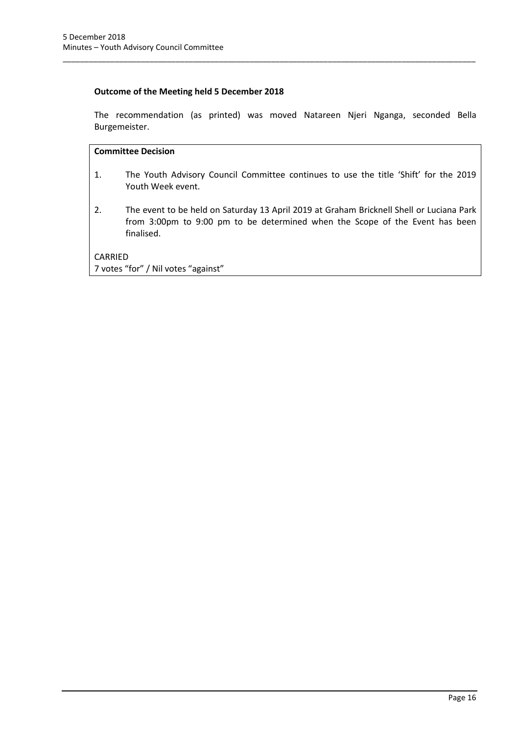## **Outcome of the Meeting held 5 December 2018**

The recommendation (as printed) was moved Natareen Njeri Nganga, seconded Bella Burgemeister.

\_\_\_\_\_\_\_\_\_\_\_\_\_\_\_\_\_\_\_\_\_\_\_\_\_\_\_\_\_\_\_\_\_\_\_\_\_\_\_\_\_\_\_\_\_\_\_\_\_\_\_\_\_\_\_\_\_\_\_\_\_\_\_\_\_\_\_\_\_\_\_\_\_\_\_\_\_\_\_\_\_\_\_\_\_\_\_\_\_\_\_\_\_\_\_

## **Committee Decision**

- 1. The Youth Advisory Council Committee continues to use the title 'Shift' for the 2019 Youth Week event.
- 2. The event to be held on Saturday 13 April 2019 at Graham Bricknell Shell or Luciana Park from 3:00pm to 9:00 pm to be determined when the Scope of the Event has been finalised.

CARRIED 7 votes "for" / Nil votes "against"